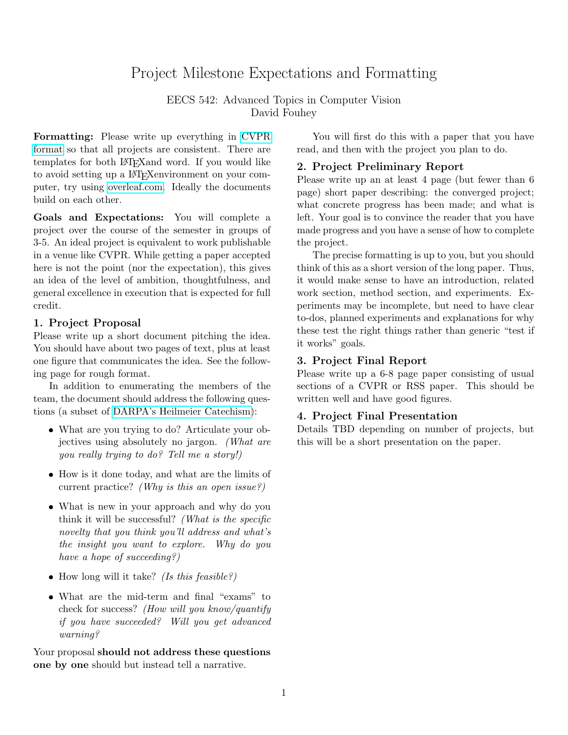# Project Milestone Expectations and Formatting

EECS 542: Advanced Topics in Computer Vision David Fouhey

Formatting: Please write up everything in [CVPR](http://cvpr2020.thecvf.com/submission/main-conference/author-guidelines#submission-guidelines) [format](http://cvpr2020.thecvf.com/submission/main-conference/author-guidelines#submission-guidelines) so that all projects are consistent. There are templates for both LATEXand word. If you would like to avoid setting up a LATEXenvironment on your computer, try using [overleaf.com.](https://www.overleaf.com/) Ideally the documents build on each other.

Goals and Expectations: You will complete a project over the course of the semester in groups of 3-5. An ideal project is equivalent to work publishable in a venue like CVPR. While getting a paper accepted here is not the point (nor the expectation), this gives an idea of the level of ambition, thoughtfulness, and general excellence in execution that is expected for full credit.

### 1. Project Proposal

Please write up a short document pitching the idea. You should have about two pages of text, plus at least one figure that communicates the idea. See the following page for rough format.

In addition to enumerating the members of the team, the document should address the following questions (a subset of [DARPA's Heilmeier Catechism\)](https://www.darpa.mil/work-with-us/heilmeier-catechism):

- What are you trying to do? Articulate your objectives using absolutely no jargon. (What are you really trying to do? Tell me a story!)
- How is it done today, and what are the limits of current practice? (Why is this an open issue?)
- What is new in your approach and why do you think it will be successful? (What is the specific novelty that you think you'll address and what's the insight you want to explore. Why do you have a hope of succeeding?)
- $\bullet$  How long will it take? (Is this feasible?)
- What are the mid-term and final "exams" to check for success? (How will you know/quantify if you have succeeded? Will you get advanced warning?

Your proposal should not address these questions one by one should but instead tell a narrative.

You will first do this with a paper that you have read, and then with the project you plan to do.

## 2. Project Preliminary Report

Please write up an at least 4 page (but fewer than 6 page) short paper describing: the converged project; what concrete progress has been made; and what is left. Your goal is to convince the reader that you have made progress and you have a sense of how to complete the project.

The precise formatting is up to you, but you should think of this as a short version of the long paper. Thus, it would make sense to have an introduction, related work section, method section, and experiments. Experiments may be incomplete, but need to have clear to-dos, planned experiments and explanations for why these test the right things rather than generic "test if it works" goals.

# 3. Project Final Report

Please write up a 6-8 page paper consisting of usual sections of a CVPR or RSS paper. This should be written well and have good figures.

### 4. Project Final Presentation

Details TBD depending on number of projects, but this will be a short presentation on the paper.